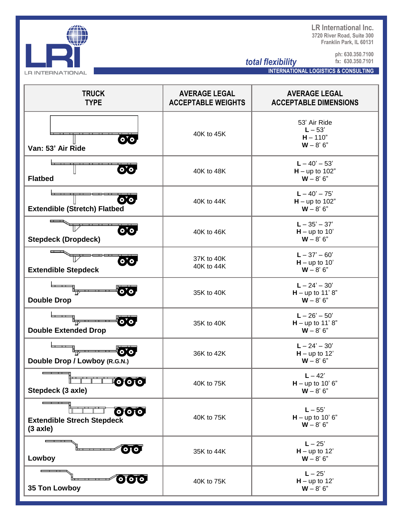**LR International Inc. 3720 River Road, Suite 300 Franklin Park, IL 60131**



*total flexibility*

**ph: 630.350.7100 fx: 630.350.7101**

**INTERNATIONAL LOGISTICS & CONSULTING .**

| <b>TRUCK</b><br><b>TYPE</b>                                                | <b>AVERAGE LEGAL</b><br><b>ACCEPTABLE WEIGHTS</b> | <b>AVERAGE LEGAL</b><br><b>ACCEPTABLE DIMENSIONS</b>    |
|----------------------------------------------------------------------------|---------------------------------------------------|---------------------------------------------------------|
| $\overline{\mathsf{o}}$ o<br>Van: 53' Air Ride                             | 40K to 45K                                        | 53' Air Ride<br>$L - 53'$<br>$H - 110"$<br>$W - 8' 6''$ |
| $\overline{\text{O}}$<br><b>Flatbed</b>                                    | 40K to 48K                                        | $L - 40' - 53'$<br>$H - up to 102"$<br>$W - 8' 6''$     |
| $\overline{\mathbf{O}}(\mathbf{O})$<br><b>Extendible (Stretch) Flatbed</b> | 40K to 44K                                        | $L - 40' - 75'$<br>$H - up to 102"$<br>$W - 8' 6''$     |
| $o$ ( $o$<br><b>Stepdeck (Dropdeck)</b>                                    | 40K to 46K                                        | $L - 35' - 37'$<br>$H - up to 10'$<br>$W - 8' 6''$      |
| $\overline{\mathbf{o}}$ ( $\mathbf{o}$<br><b>Extendible Stepdeck</b>       | 37K to 40K<br>40K to 44K                          | $L - 37' - 60'$<br>$H - up to 10'$<br>$W - 8' 6''$      |
| o!o<br><b>Double Drop</b>                                                  | 35K to 40K                                        | $L - 24' - 30'$<br>$H - up to 11' 8"$<br>$W - 8' 6''$   |
| $\overline{\mathbf{o}}$ ( $\mathbf{o}$<br><b>Double Extended Drop</b>      | 35K to 40K                                        | $L - 26' - 50'$<br>$H - up to 11' 8"$<br>$W - 8' 6''$   |
| $\mathbf{o}$ o<br>Double Drop / Lowboy (R.G.N.)                            | 36K to 42K                                        | $L - 24' - 30'$<br>$H - up to 12'$<br>$W - 8' 6''$      |
| <b>OOO</b><br>Stepdeck (3 axle)                                            | 40K to 75K                                        | $L - 42'$<br>$H - up to 10' 6"$<br>$W - 8' 6''$         |
| $\bullet$<br><b>Extendible Strech Stepdeck</b><br>$(3 \text{ axle})$       | 40K to 75K                                        | $L - 55'$<br>$H - up to 10' 6"$<br>$W - 8' 6''$         |
| $\overline{\text{OLO}}$<br>Lowboy                                          | 35K to 44K                                        | $L - 25'$<br>$H - up to 12'$<br>$W - 8' 6''$            |
| 000<br>35 Ton Lowboy                                                       | 40K to 75K                                        | $L - 25'$<br>$H - up to 12'$<br>$W - 8' 6''$            |